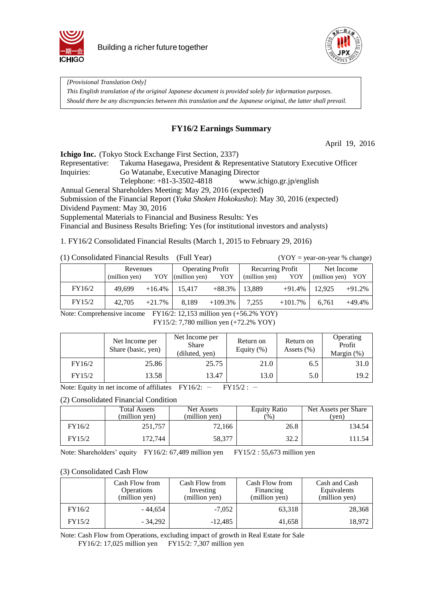



*[Provisional Translation Only] This English translation of the original Japanese document is provided solely for information purposes. Should there be any discrepancies between this translation and the Japanese original, the latter shall prevail.*

### **FY16/2 Earnings Summary**

April 19, 2016

**Ichigo Inc.** (Tokyo Stock Exchange First Section, 2337)

Representative: Takuma Hasegawa, President & Representative Statutory Executive Officer Inquiries: Go Watanabe, Executive Managing Director Telephone: +81-3-3502-4818 www.ichigo.gr.jp/english

Annual General Shareholders Meeting: May 29, 2016 (expected)

Submission of the Financial Report (*Yuka Shoken Hokokusho*): May 30, 2016 (expected)

Dividend Payment: May 30, 2016

Supplemental Materials to Financial and Business Results: Yes

Financial and Business Results Briefing: Yes (for institutional investors and analysts)

1. FY16/2 Consolidated Financial Results (March 1, 2015 to February 29, 2016)

|  |  | (1) Consolidated Financial Results (Full Year) |  |
|--|--|------------------------------------------------|--|
|--|--|------------------------------------------------|--|

 $(YOY = year-on-year % change)$ 

|        | Revenues      |           | <b>Operating Profit</b> |            | <b>Recurring Profit</b> |            | Net Income    |          |
|--------|---------------|-----------|-------------------------|------------|-------------------------|------------|---------------|----------|
|        | (million yen) | YOY       | (million yen)           | YOY        | (million yen)           | YOY        | (million yen) | YOY      |
| FY16/2 | 49.699        | $+16.4\%$ | 15.417                  | $+88.3\%$  | 13.889                  | $+91.4%$   | 12.925        | $+91.2%$ |
| FY15/2 | 42,705        | $+21.7%$  | 8.189                   | $+109.3\%$ | 7,255                   | $+101.7\%$ | 6.761         | $+49.4%$ |

Note: Comprehensive income FY16/2: 12,153 million yen (+56.2% YOY) FY15/2: 7,780 million yen (+72.2% YOY)

|        | Net Income per<br>Share (basic, yen) | Net Income per<br><b>Share</b><br>(diluted, yen) | Return on<br>Equity $(\%)$ | Return on<br>Assets $(\% )$ | Operating<br>Profit<br>Margin (%) |
|--------|--------------------------------------|--------------------------------------------------|----------------------------|-----------------------------|-----------------------------------|
| FY16/2 | 25.86                                | 25.75                                            | 21.0                       | 6.5                         | 31.0                              |
| FY15/2 | 13.58                                | 13.47                                            | 13.0                       | 5.0                         | 19.2                              |

Note: Equity in net income of affiliates  $FY16/2$ :  $FY15/2$ :  $-$ 

#### (2) Consolidated Financial Condition

|        | <b>Total Assets</b><br>(million ven) | Net Assets<br>(million yen) | <b>Equity Ratio</b><br>(%) | Net Assets per Share<br>'ven) |
|--------|--------------------------------------|-----------------------------|----------------------------|-------------------------------|
| FY16/2 | 251,757                              | 72.166                      | 26.8                       | 134.54                        |
| FY15/2 | 172.744                              | 58,377                      | 32.2                       | 111.54                        |

Note: Shareholders' equity FY16/2: 67,489 million yen FY15/2 : 55,673 million yen

#### (3) Consolidated Cash Flow

|        | Cash Flow from<br><b>Operations</b><br>(million yen) | Cash Flow from<br>Investing<br>(million yen) | Cash Flow from<br>Financing<br>(million yen) | Cash and Cash<br>Equivalents<br>(million yen) |
|--------|------------------------------------------------------|----------------------------------------------|----------------------------------------------|-----------------------------------------------|
| FY16/2 | - 44.654                                             | $-7.052$                                     | 63,318                                       | 28,368                                        |
| FY15/2 | - 34.292                                             | $-12,485$                                    | 41,658                                       | 18,972                                        |

Note: Cash Flow from Operations, excluding impact of growth in Real Estate for Sale FY16/2: 17,025 million yen FY15/2: 7,307 million yen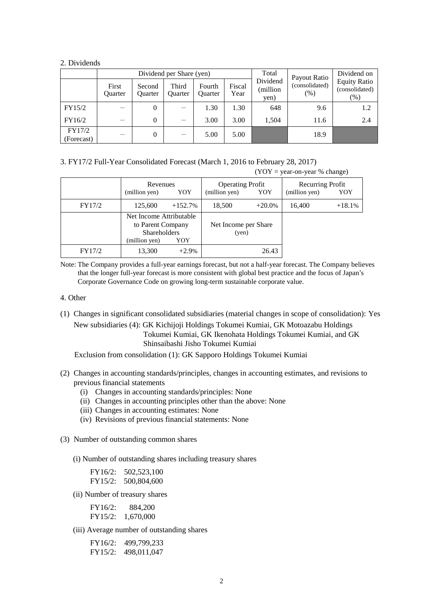#### 2. Dividends

|                      |                  |                   | Dividend per Share (yen) | Total                    | Payout Ratio   | Dividend on                                            |                                                 |     |
|----------------------|------------------|-------------------|--------------------------|--------------------------|----------------|--------------------------------------------------------|-------------------------------------------------|-----|
|                      | First<br>Ouarter | Second<br>Ouarter | Third<br><b>Ouarter</b>  | Fourth<br><b>Ouarter</b> | Fiscal<br>Year | Dividend<br>(consolidated)<br>(million<br>(% )<br>yen) | <b>Equity Ratio</b><br>(consolidated)<br>$(\%)$ |     |
| FY15/2               |                  | 0                 |                          | 1.30                     | 1.30           | 648                                                    | 9.6                                             | 1.2 |
| FY16/2               |                  | 0                 |                          | 3.00                     | 3.00           | 1,504                                                  | 11.6                                            | 2.4 |
| FY17/2<br>(Forecast) |                  | 0                 |                          | 5.00                     | 5.00           |                                                        | 18.9                                            |     |

3. FY17/2 Full-Year Consolidated Forecast (March 1, 2016 to February 28, 2017)

 $(YOY = year-on-year % change)$ 

|        | Revenues<br>YOY<br>(million yen)                                                            |           | <b>Operating Profit</b><br>(million yen)<br>YOY |          | Recurring Profit<br>(million yen) | YOY      |
|--------|---------------------------------------------------------------------------------------------|-----------|-------------------------------------------------|----------|-----------------------------------|----------|
| FY17/2 | 125,600                                                                                     | $+152.7%$ | 18,500                                          | $+20.0%$ | 16,400                            | $+18.1%$ |
|        | Net Income Attributable<br>to Parent Company<br><b>Shareholders</b><br>(million yen)<br>YOY |           | Net Income per Share<br>(yen)                   |          |                                   |          |
| FY17/2 | 13,300                                                                                      | $+2.9%$   |                                                 | 26.43    |                                   |          |

Note: The Company provides a full-year earnings forecast, but not a half-year forecast. The Company believes that the longer full-year forecast is more consistent with global best practice and the focus of Japan's Corporate Governance Code on growing long-term sustainable corporate value.

#### 4. Other

(1) Changes in significant consolidated subsidiaries (material changes in scope of consolidation): Yes New subsidiaries (4): GK Kichijoji Holdings Tokumei Kumiai, GK Motoazabu Holdings Tokumei Kumiai, GK Ikenohata Holdings Tokumei Kumiai, and GK Shinsaibashi Jisho Tokumei Kumiai

Exclusion from consolidation (1): GK Sapporo Holdings Tokumei Kumiai

- (2) Changes in accounting standards/principles, changes in accounting estimates, and revisions to previous financial statements
	- (i) Changes in accounting standards/principles: None
	- (ii) Changes in accounting principles other than the above: None
	- (iii) Changes in accounting estimates: None
	- (iv) Revisions of previous financial statements: None
- (3) Number of outstanding common shares
	- (i) Number of outstanding shares including treasury shares

| FY16/2: | 502,523,100 |
|---------|-------------|
| FY15/2: | 500,804,600 |

(ii) Number of treasury shares

| FY16/2: | 884,200   |
|---------|-----------|
| FY15/2: | 1,670,000 |

(iii) Average number of outstanding shares

FY16/2: 499,799,233 FY15/2: 498,011,047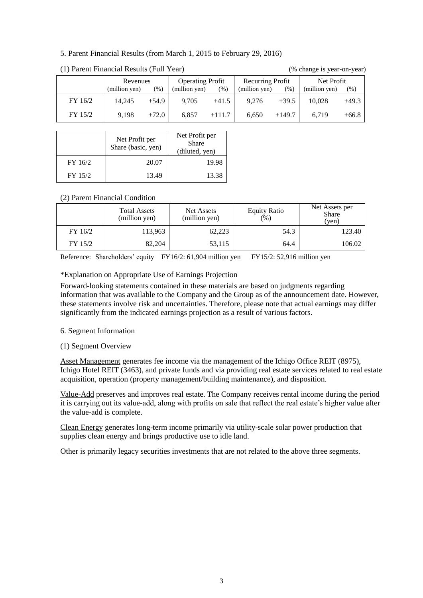#### 5. Parent Financial Results (from March 1, 2015 to February 29, 2016)

|         | Revenues      |         | <b>Operating Profit</b> |          | Recurring Profit |          | Net Profit    |               |
|---------|---------------|---------|-------------------------|----------|------------------|----------|---------------|---------------|
|         | (million yen) | (96)    | (million yen)           | $(\%)$   | (million yen)    | $(\%)$   | (million yen) | $\frac{1}{2}$ |
| FY 16/2 | 14.245        | $+54.9$ | 9,705                   | $+41.5$  | 9,276            | $+39.5$  | 10.028        | $+49.3$       |
| FY 15/2 | 9.198         | $+72.0$ | 6.857                   | $+111.7$ | 6,650            | $+149.7$ | 6,719         | $+66.8$       |

(1) Parent Financial Results (Full Year) (% change is year-on-year)

|         | Net Profit per<br>Share (basic, yen) | Net Profit per<br><b>Share</b><br>(diluted, yen) |
|---------|--------------------------------------|--------------------------------------------------|
| FY 16/2 | 20.07                                | 19.98                                            |
| FY 15/2 | 13.49                                | 13.38                                            |

# (2) Parent Financial Condition

| <b>Total Assets</b><br>(million yen) |         | Net Assets<br>(million yen) | <b>Equity Ratio</b><br>(% ) | Net Assets per<br><b>Share</b><br>(yen) |  |
|--------------------------------------|---------|-----------------------------|-----------------------------|-----------------------------------------|--|
| FY 16/2                              | 113,963 | 62,223                      | 54.3                        | 123.40                                  |  |
| FY 15/2                              | 82,204  | 53,115                      | 64.4                        | 106.02                                  |  |

Reference: Shareholders' equity FY16/2: 61,904 million yen FY15/2: 52,916 million yen

#### \*Explanation on Appropriate Use of Earnings Projection

Forward-looking statements contained in these materials are based on judgments regarding information that was available to the Company and the Group as of the announcement date. However, these statements involve risk and uncertainties. Therefore, please note that actual earnings may differ significantly from the indicated earnings projection as a result of various factors.

#### 6. Segment Information

#### (1) Segment Overview

Asset Management generates fee income via the management of the Ichigo Office REIT (8975), Ichigo Hotel REIT (3463), and private funds and via providing real estate services related to real estate acquisition, operation (property management/building maintenance), and disposition.

Value-Add preserves and improves real estate. The Company receives rental income during the period it is carrying out its value-add, along with profits on sale that reflect the real estate's higher value after the value-add is complete.

Clean Energy generates long-term income primarily via utility-scale solar power production that supplies clean energy and brings productive use to idle land.

Other is primarily legacy securities investments that are not related to the above three segments.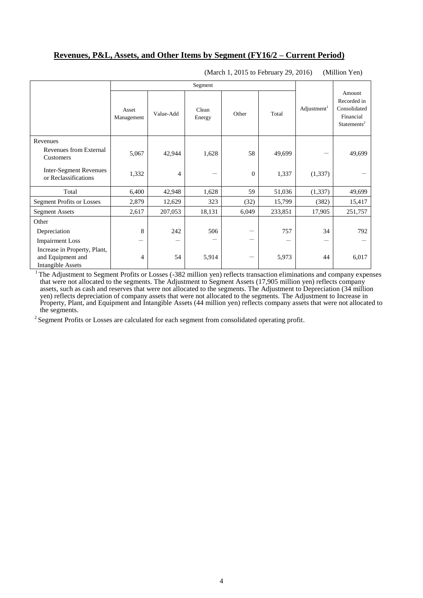### **Revenues, P&L, Assets, and Other Items by Segment (FY16/2 – Current Period)**

|                                                                               | Segment             |                |                 |                |         |                       |                                                                               |
|-------------------------------------------------------------------------------|---------------------|----------------|-----------------|----------------|---------|-----------------------|-------------------------------------------------------------------------------|
|                                                                               | Asset<br>Management | Value-Add      | Clean<br>Energy | Other          | Total   | $\text{Adjustment}^1$ | Amount<br>Recorded in<br>Consolidated<br>Financial<br>Statements <sup>2</sup> |
| Revenues                                                                      |                     |                |                 |                |         |                       |                                                                               |
| Revenues from External<br>Customers                                           | 5,067               | 42,944         | 1,628           | 58             | 49,699  |                       | 49,699                                                                        |
| <b>Inter-Segment Revenues</b><br>or Reclassifications                         | 1,332               | $\overline{4}$ | —               | $\overline{0}$ | 1,337   | (1, 337)              |                                                                               |
| Total                                                                         | 6,400               | 42,948         | 1,628           | 59             | 51,036  | (1, 337)              | 49,699                                                                        |
| <b>Segment Profits or Losses</b>                                              | 2,879               | 12,629         | 323             | (32)           | 15,799  | (382)                 | 15,417                                                                        |
| <b>Segment Assets</b>                                                         | 2,617               | 207,053        | 18,131          | 6,049          | 233,851 | 17,905                | 251,757                                                                       |
| Other                                                                         |                     |                |                 |                |         |                       |                                                                               |
| Depreciation                                                                  | 8                   | 242            | 506             |                | 757     | 34                    | 792                                                                           |
| <b>Impairment Loss</b>                                                        |                     |                |                 | -              |         |                       |                                                                               |
| Increase in Property, Plant,<br>and Equipment and<br><b>Intangible Assets</b> | 4                   | 54             | 5,914           |                | 5,973   | 44                    | 6,017                                                                         |

(March 1, 2015 to February 29, 2016) (Million Yen)

<sup>1</sup> The Adjustment to Segment Profits or Losses (-382 million yen) reflects transaction eliminations and company expenses that were not allocated to the segments. The Adjustment to Segment Assets (17,905 million yen) reflects company assets, such as cash and reserves that were not allocated to the segments. The Adjustment to Depreciation (34 million yen) reflects depreciation of company assets that were not allocated to the segments. The Adjustment to Increase in Property, Plant, and Equipment and Intangible Assets (44 million yen) reflects company assets that were not allocated to the segments.

<sup>2</sup> Segment Profits or Losses are calculated for each segment from consolidated operating profit.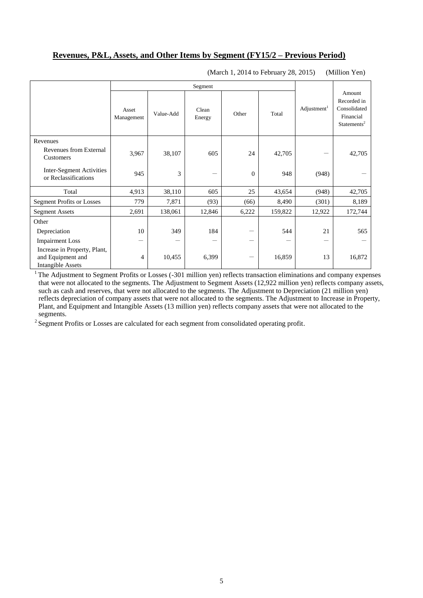#### **Revenues, P&L, Assets, and Other Items by Segment (FY15/2 – Previous Period)**

|                                                                               | Segment             |           |                 |          |         |                         |                                                                               |
|-------------------------------------------------------------------------------|---------------------|-----------|-----------------|----------|---------|-------------------------|-------------------------------------------------------------------------------|
|                                                                               | Asset<br>Management | Value-Add | Clean<br>Energy | Other    | Total   | Adjustment <sup>1</sup> | Amount<br>Recorded in<br>Consolidated<br>Financial<br>Statements <sup>2</sup> |
| Revenues                                                                      |                     |           |                 |          |         |                         |                                                                               |
| Revenues from External<br>Customers                                           | 3,967               | 38,107    | 605             | 24       | 42,705  |                         | 42,705                                                                        |
| <b>Inter-Segment Activities</b><br>or Reclassifications                       | 945                 | 3         | -               | $\theta$ | 948     | (948)                   |                                                                               |
| Total                                                                         | 4,913               | 38,110    | 605             | 25       | 43,654  | (948)                   | 42,705                                                                        |
| <b>Segment Profits or Losses</b>                                              | 779                 | 7,871     | (93)            | (66)     | 8,490   | (301)                   | 8,189                                                                         |
| <b>Segment Assets</b>                                                         | 2,691               | 138,061   | 12,846          | 6,222    | 159,822 | 12,922                  | 172,744                                                                       |
| Other                                                                         |                     |           |                 |          |         |                         |                                                                               |
| Depreciation                                                                  | 10                  | 349       | 184             |          | 544     | 21                      | 565                                                                           |
| <b>Impairment Loss</b>                                                        |                     |           |                 |          |         |                         |                                                                               |
| Increase in Property, Plant,<br>and Equipment and<br><b>Intangible Assets</b> | 4                   | 10,455    | 6,399           |          | 16,859  | 13                      | 16,872                                                                        |

(March 1, 2014 to February 28, 2015) (Million Yen)

 $1$ <sup>1</sup> The Adjustment to Segment Profits or Losses (-301 million yen) reflects transaction eliminations and company expenses that were not allocated to the segments. The Adjustment to Segment Assets (12,922 million yen) reflects company assets, such as cash and reserves, that were not allocated to the segments. The Adjustment to Depreciation (21 million yen) reflects depreciation of company assets that were not allocated to the segments. The Adjustment to Increase in Property, Plant, and Equipment and Intangible Assets (13 million yen) reflects company assets that were not allocated to the segments.

<sup>2</sup> Segment Profits or Losses are calculated for each segment from consolidated operating profit.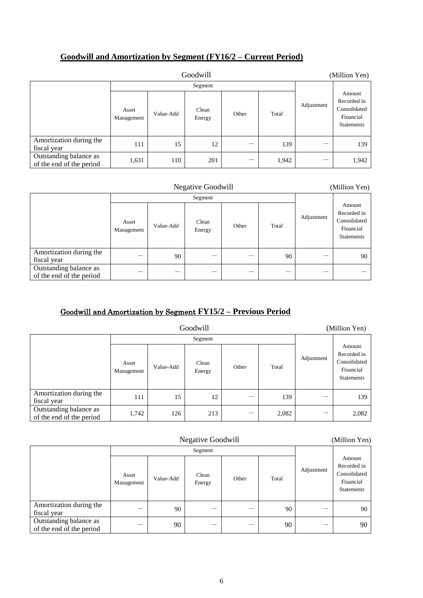### **Goodwill and Amortization by Segment (FY16/2 – Current Period)**

| Goodwill                                           |                     |           |                 |       |       |            | (Million Yen)                                                           |
|----------------------------------------------------|---------------------|-----------|-----------------|-------|-------|------------|-------------------------------------------------------------------------|
|                                                    |                     |           | Segment         |       |       |            |                                                                         |
|                                                    | Asset<br>Management | Value-Add | Clean<br>Energy | Other | Total | Adjustment | Amount<br>Recorded in<br>Consolidated<br>Financial<br><b>Statements</b> |
| Amortization during the<br>fiscal year             | 111                 | 15        | 12              |       | 139   |            | 139                                                                     |
| Outstanding balance as<br>of the end of the period | 1,631               | 110       | 201             |       | 1,942 |            | 1,942                                                                   |

| <b>Negative Goodwill</b>                           |                     |           |                 |       |       | (Million Yen) |                                                                         |
|----------------------------------------------------|---------------------|-----------|-----------------|-------|-------|---------------|-------------------------------------------------------------------------|
|                                                    |                     |           | Segment         |       |       |               |                                                                         |
|                                                    | Asset<br>Management | Value-Add | Clean<br>Energy | Other | Total | Adjustment    | Amount<br>Recorded in<br>Consolidated<br>Financial<br><b>Statements</b> |
| Amortization during the<br>fiscal year             |                     | 90        |                 |       | 90    |               | 90                                                                      |
| Outstanding balance as<br>of the end of the period |                     |           |                 |       |       |               |                                                                         |

## Goodwill and Amortization by Segment **FY15/2 – Previous Period**

| Goodwill                                           |                     |           |                 |       |       |            | (Million Yen)                                                    |
|----------------------------------------------------|---------------------|-----------|-----------------|-------|-------|------------|------------------------------------------------------------------|
|                                                    |                     |           | Segment         |       |       |            |                                                                  |
|                                                    | Asset<br>Management | Value-Add | Clean<br>Energy | Other | Total | Adjustment | Amount<br>Recorded in<br>Consolidated<br>Financial<br>Statements |
| Amortization during the<br>fiscal year             | 111                 | 15        | 12              | –     | 139   |            | 139                                                              |
| Outstanding balance as<br>of the end of the period | 1,742               | 126       | 213             |       | 2,082 |            | 2,082                                                            |

| <b>Negative Goodwill</b>                           |                     |           |                 |       |       | (Million Yen) |                                                                         |
|----------------------------------------------------|---------------------|-----------|-----------------|-------|-------|---------------|-------------------------------------------------------------------------|
|                                                    |                     |           | Segment         |       |       |               |                                                                         |
|                                                    | Asset<br>Management | Value-Add | Clean<br>Energy | Other | Total | Adjustment    | Amount<br>Recorded in<br>Consolidated<br>Financial<br><b>Statements</b> |
| Amortization during the<br>fiscal year             |                     | 90        | –               |       | 90    |               | 90                                                                      |
| Outstanding balance as<br>of the end of the period |                     | 90        |                 |       | 90    |               | 90                                                                      |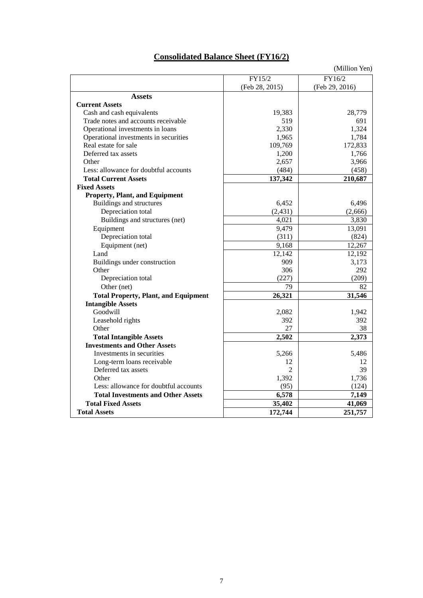# **Consolidated Balance Sheet (FY16/2)**

|                                             |                | (Million Yen)  |
|---------------------------------------------|----------------|----------------|
|                                             | FY15/2         | FY16/2         |
|                                             | (Feb 28, 2015) | (Feb 29, 2016) |
| <b>Assets</b>                               |                |                |
| <b>Current Assets</b>                       |                |                |
| Cash and cash equivalents                   | 19,383         | 28,779         |
| Trade notes and accounts receivable         | 519            | 691            |
| Operational investments in loans            | 2,330          | 1,324          |
| Operational investments in securities       | 1,965          | 1,784          |
| Real estate for sale                        | 109,769        | 172,833        |
| Deferred tax assets                         | 1,200          | 1,766          |
| Other                                       | 2,657          | 3,966          |
| Less: allowance for doubtful accounts       | (484)          | (458)          |
| <b>Total Current Assets</b>                 | 137,342        | 210,687        |
| <b>Fixed Assets</b>                         |                |                |
| <b>Property, Plant, and Equipment</b>       |                |                |
| Buildings and structures                    | 6,452          | 6,496          |
| Depreciation total                          | (2, 431)       | (2,666)        |
| Buildings and structures (net)              | 4,021          | 3,830          |
| Equipment                                   | 9,479          | 13,091         |
| Depreciation total                          | (311)          | (824)          |
| Equipment (net)                             | 9,168          | 12,267         |
| Land                                        | 12,142         | 12,192         |
| Buildings under construction                | 909            | 3,173          |
| Other                                       | 306            | 292            |
| Depreciation total                          | (227)          | (209)          |
| Other (net)                                 | 79             | 82             |
| <b>Total Property, Plant, and Equipment</b> | 26,321         | 31,546         |
| <b>Intangible Assets</b>                    |                |                |
| Goodwill                                    | 2,082          | 1,942          |
| Leasehold rights                            | 392            | 392            |
| Other                                       | 27             | 38             |
| <b>Total Intangible Assets</b>              | 2,502          | 2,373          |
| <b>Investments and Other Assets</b>         |                |                |
| Investments in securities                   | 5,266          | 5,486          |
| Long-term loans receivable                  | 12             | 12             |
| Deferred tax assets                         | 2              | 39             |
| Other                                       | 1,392          | 1,736          |
| Less: allowance for doubtful accounts       | (95)           | (124)          |
| <b>Total Investments and Other Assets</b>   | 6,578          | 7,149          |
| <b>Total Fixed Assets</b>                   | 35,402         | 41,069         |
| <b>Total Assets</b>                         | 172,744        | 251,757        |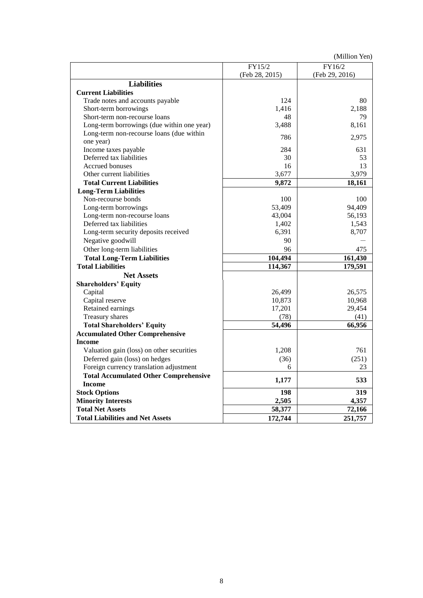(Million Yen)

|                                              | FY15/2         | FY16/2         |
|----------------------------------------------|----------------|----------------|
|                                              | (Feb 28, 2015) | (Feb 29, 2016) |
| <b>Liabilities</b>                           |                |                |
| <b>Current Liabilities</b>                   |                |                |
| Trade notes and accounts payable             | 124            | 80             |
| Short-term borrowings                        | 1,416          | 2,188          |
| Short-term non-recourse loans                | 48             | 79             |
| Long-term borrowings (due within one year)   | 3,488          | 8,161          |
| Long-term non-recourse loans (due within     |                |                |
| one year)                                    | 786            | 2,975          |
| Income taxes payable                         | 284            | 631            |
| Deferred tax liabilities                     | 30             | 53             |
| Accrued bonuses                              | 16             | 13             |
| Other current liabilities                    | 3,677          | 3,979          |
| <b>Total Current Liabilities</b>             | 9,872          | 18,161         |
| <b>Long-Term Liabilities</b>                 |                |                |
| Non-recourse bonds                           | 100            | 100            |
| Long-term borrowings                         | 53,409         | 94,409         |
| Long-term non-recourse loans                 | 43,004         | 56,193         |
| Deferred tax liabilities                     | 1,402          | 1,543          |
| Long-term security deposits received         | 6,391          | 8,707          |
| Negative goodwill                            | 90             |                |
| Other long-term liabilities                  | 96             | 475            |
| <b>Total Long-Term Liabilities</b>           | 104,494        | 161,430        |
| <b>Total Liabilities</b>                     | 114,367        | 179,591        |
| <b>Net Assets</b>                            |                |                |
| <b>Shareholders' Equity</b>                  |                |                |
| Capital                                      | 26,499         | 26,575         |
| Capital reserve                              | 10,873         | 10,968         |
| Retained earnings                            | 17,201         | 29,454         |
| Treasury shares                              | (78)           | (41)           |
| <b>Total Shareholders' Equity</b>            | 54,496         | 66,956         |
| <b>Accumulated Other Comprehensive</b>       |                |                |
| <b>Income</b>                                |                |                |
| Valuation gain (loss) on other securities    | 1,208          | 761            |
| Deferred gain (loss) on hedges               | (36)           | (251)          |
| Foreign currency translation adjustment      | 6              | 23             |
| <b>Total Accumulated Other Comprehensive</b> |                |                |
| <b>Income</b>                                | 1,177          | 533            |
| <b>Stock Options</b>                         | 198            | 319            |
| <b>Minority Interests</b>                    | 2,505          | 4,357          |
| <b>Total Net Assets</b>                      | 58,377         | 72,166         |
| <b>Total Liabilities and Net Assets</b>      | 172,744        | 251,757        |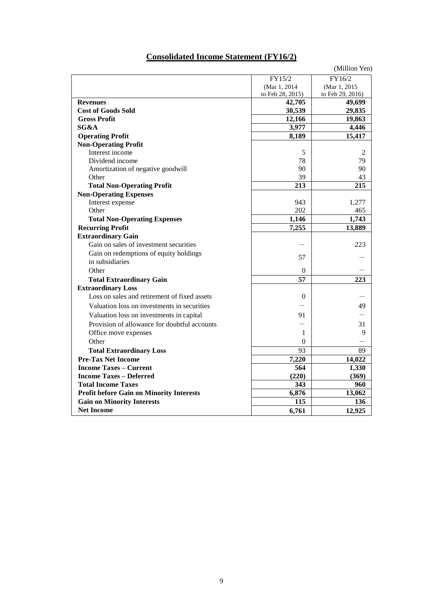# **Consolidated Income Statement (FY16/2)**

|                                                 |                  | (Million Yen)    |
|-------------------------------------------------|------------------|------------------|
|                                                 | FY15/2           | FY16/2           |
|                                                 | (Mar 1, 2014     | (Mar 1, 2015     |
|                                                 | to Feb 28, 2015) | to Feb 29, 2016) |
| <b>Revenues</b>                                 | 42,705           | 49,699           |
| <b>Cost of Goods Sold</b>                       | 30,539           | 29,835           |
| <b>Gross Profit</b>                             | 12,166           | 19,863           |
| SG&A                                            | 3,977            | 4,446            |
| <b>Operating Profit</b>                         | 8,189            | 15,417           |
| <b>Non-Operating Profit</b>                     |                  |                  |
| Interest income                                 | 5                | 2                |
| Dividend income                                 | 78               | 79               |
| Amortization of negative goodwill               | 90               | 90               |
| Other                                           | 39               | 43               |
| <b>Total Non-Operating Profit</b>               | 213              | 215              |
| <b>Non-Operating Expenses</b>                   |                  |                  |
| Interest expense                                | 943              | 1,277            |
| Other                                           | 202              | 465              |
| <b>Total Non-Operating Expenses</b>             | 1,146            | 1,743            |
| <b>Recurring Profit</b>                         | 7,255            | 13,889           |
| <b>Extraordinary Gain</b>                       |                  |                  |
| Gain on sales of investment securities          |                  | 223              |
| Gain on redemptions of equity holdings          |                  |                  |
| in subsidiaries                                 | 57               |                  |
| Other                                           | $\overline{0}$   |                  |
| <b>Total Extraordinary Gain</b>                 | 57               | 223              |
| <b>Extraordinary Loss</b>                       |                  |                  |
| Loss on sales and retirement of fixed assets    | $\theta$         |                  |
| Valuation loss on investments in securities     |                  | 49               |
| Valuation loss on investments in capital        | 91               |                  |
| Provision of allowance for doubtful accounts    |                  | 31               |
| Office move expenses                            | 1                | 9                |
| Other                                           | $\theta$         |                  |
| <b>Total Extraordinary Loss</b>                 | 93               | 89               |
| <b>Pre-Tax Net Income</b>                       | 7,220            | 14,022           |
| <b>Income Taxes – Current</b>                   | 564              | 1,330            |
| <b>Income Taxes - Deferred</b>                  | (220)            | (369)            |
| <b>Total Income Taxes</b>                       | 343              | 960              |
| <b>Profit before Gain on Minority Interests</b> | 6,876            | 13,062           |
| <b>Gain on Minority Interests</b>               | 115              | 136              |
| <b>Net Income</b>                               |                  |                  |
|                                                 | 6,761            | 12,925           |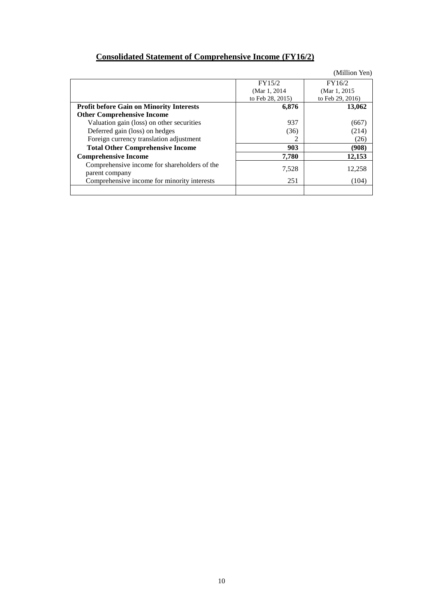# **Consolidated Statement of Comprehensive Income (FY16/2)**

|                                                                |                  | (Million Yen)    |
|----------------------------------------------------------------|------------------|------------------|
|                                                                | FY15/2           | FY16/2           |
|                                                                | (Mar 1, 2014)    | (Mar 1, 2015)    |
|                                                                | to Feb 28, 2015) | to Feb 29, 2016) |
| <b>Profit before Gain on Minority Interests</b>                | 6,876            | 13,062           |
| <b>Other Comprehensive Income</b>                              |                  |                  |
| Valuation gain (loss) on other securities                      | 937              | (667)            |
| Deferred gain (loss) on hedges                                 | (36)             | (214)            |
| Foreign currency translation adjustment                        |                  | (26)             |
| <b>Total Other Comprehensive Income</b>                        | 903              | (908)            |
| <b>Comprehensive Income</b>                                    | 7,780            | 12,153           |
| Comprehensive income for shareholders of the<br>parent company | 7,528            | 12,258           |
| Comprehensive income for minority interests                    | 251              | (104)            |
|                                                                |                  |                  |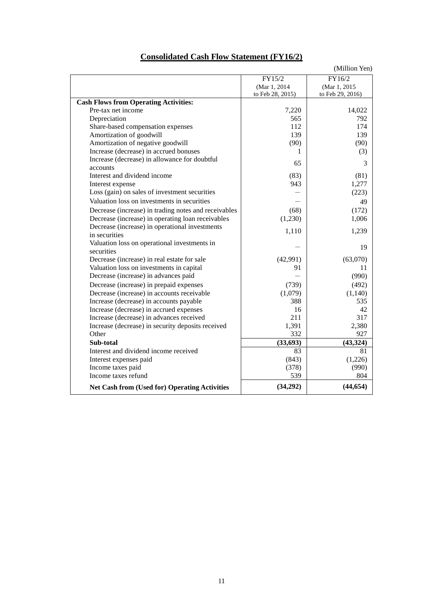| <b>Consolidated Cash Flow Statement (FY16/2)</b> |
|--------------------------------------------------|
|--------------------------------------------------|

|                                                            |                  | (Million Yen)    |
|------------------------------------------------------------|------------------|------------------|
|                                                            | FY15/2           | FY16/2           |
|                                                            | (Mar 1, 2014)    | (Mar 1, 2015)    |
|                                                            | to Feb 28, 2015) | to Feb 29, 2016) |
| <b>Cash Flows from Operating Activities:</b>               |                  |                  |
| Pre-tax net income                                         | 7,220            | 14,022           |
| Depreciation                                               | 565              | 792              |
| Share-based compensation expenses                          | 112              | 174              |
| Amortization of goodwill                                   | 139              | 139              |
| Amortization of negative goodwill                          | (90)             | (90)             |
| Increase (decrease) in accrued bonuses                     | 1                | (3)              |
| Increase (decrease) in allowance for doubtful<br>accounts  | 65               | 3                |
| Interest and dividend income                               | (83)             | (81)             |
| Interest expense                                           | 943              | 1,277            |
| Loss (gain) on sales of investment securities              |                  | (223)            |
| Valuation loss on investments in securities                |                  | 49               |
| Decrease (increase) in trading notes and receivables       | (68)             | (172)            |
| Decrease (increase) in operating loan receivables          | (1,230)          | 1,006            |
| Decrease (increase) in operational investments             | 1,110            | 1,239            |
| in securities                                              |                  |                  |
| Valuation loss on operational investments in<br>securities |                  | 19               |
| Decrease (increase) in real estate for sale                | (42,991)         | (63,070)         |
| Valuation loss on investments in capital                   | 91               | 11               |
| Decrease (increase) in advances paid                       |                  | (990)            |
| Decrease (increase) in prepaid expenses                    | (739)            | (492)            |
| Decrease (increase) in accounts receivable                 | (1,079)          | (1,140)          |
| Increase (decrease) in accounts payable                    | 388              | 535              |
| Increase (decrease) in accrued expenses                    | 16               | 42               |
| Increase (decrease) in advances received                   | 211              | 317              |
| Increase (decrease) in security deposits received          | 1,391            | 2,380            |
| Other                                                      | 332              | 927              |
| Sub-total                                                  | (33, 693)        | (43, 324)        |
| Interest and dividend income received                      | 83               | 81               |
| Interest expenses paid                                     | (843)            | (1,226)          |
| Income taxes paid                                          | (378)            | (990)            |
| Income taxes refund                                        | 539              | 804              |
| <b>Net Cash from (Used for) Operating Activities</b>       | (34,292)         | (44, 654)        |